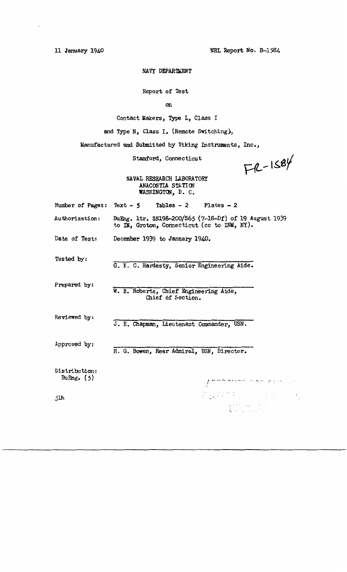11 January- 1940

 $\alpha$  ,  $\beta$  ,  $\alpha$ 

 $\overline{a}$ 

NRL Report No. B-1584

## NAVY DEPARTMENT

Report of Test

on

Contact Makers, Type L, Class I

and Type N, Class I, (Remote Switching),

Manufactured and Submitted by Viking Instruments, Inc.,

Stamford, Connecticut

 $FA-1584$ 

 $\begin{cases} \frac{1}{2} \sum_{i=1}^{n} \left( \frac{1}{2} \right) \left( \frac{1}{2} \right) \left( \frac{1}{2} \right) \left( \frac{1}{2} \right) \left( \frac{1}{2} \right) \left( \frac{1}{2} \right) \left( \frac{1}{2} \right) \left( \frac{1}{2} \right) \left( \frac{1}{2} \right) \left( \frac{1}{2} \right) \left( \frac{1}{2} \right) \left( \frac{1}{2} \right) \left( \frac{1}{2} \right) \left( \frac{1}{2} \right) \left( \frac{1}{2} \right) \left($ 

NAVAL RESEARCH LABORATORY **ANACOSTIA STATION** WASHINGTON, D. C.

|                               | Number of Pages: $Text - 5$ Tables - 2 Plates - 2                                                    |
|-------------------------------|------------------------------------------------------------------------------------------------------|
| Authorization:                | BuEng. 1tr. SS198-200/S65 (7-18-Df) of 19 August 1939<br>to IM, Groton, Connecticut (cc to INM, NY). |
| Date of Test:                 | December 1939 to January 1940.                                                                       |
| Tested by:                    | G. K. C. Hardesty, Senior Engineering Aide.                                                          |
| Prepared by:                  | W. B. Roberts, Chief Engineering Aide,<br>Chief of Section.                                          |
| Reviewed by:                  | J. E. Chapman, Lieutenant Commander, USN.                                                            |
| Approved by:                  | H. G. Bowen, Rear Admiral, USN, Director.                                                            |
| Distributiom:<br>BuEng. $(5)$ | ADDRAME TAE EUGHT                                                                                    |
| jlh                           |                                                                                                      |

jlh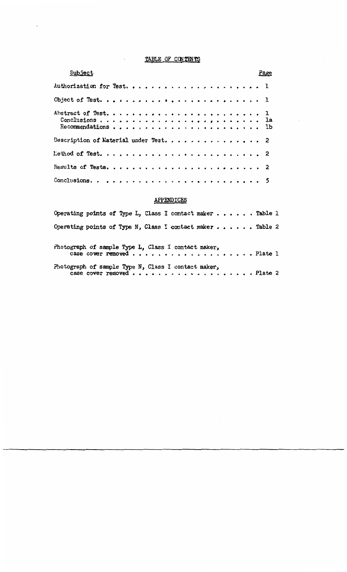# TABLE OF CONTENTS

 $\overline{\phantom{a}}$ 

 $\sim$ 

 $\bar{I}$ 

 $\Box$ 

| Subject                               |  |  | Page |  |
|---------------------------------------|--|--|------|--|
|                                       |  |  |      |  |
|                                       |  |  |      |  |
|                                       |  |  |      |  |
| Description of Material under Test. 2 |  |  |      |  |
|                                       |  |  |      |  |
|                                       |  |  |      |  |
|                                       |  |  |      |  |

# **APPENDICES**

| Operating points of Type L, Class I contact maker $\ldots$ Table 1                  |  |  |  |  |
|-------------------------------------------------------------------------------------|--|--|--|--|
| Operating points of Type N, Class I contact maker  Table 2                          |  |  |  |  |
| Photograph of sample Type L, Class I contact maker,<br>case cover removed Plate $l$ |  |  |  |  |
| Photograph of sample Type N, Class I contact maker,<br>case cover removed Plate 2   |  |  |  |  |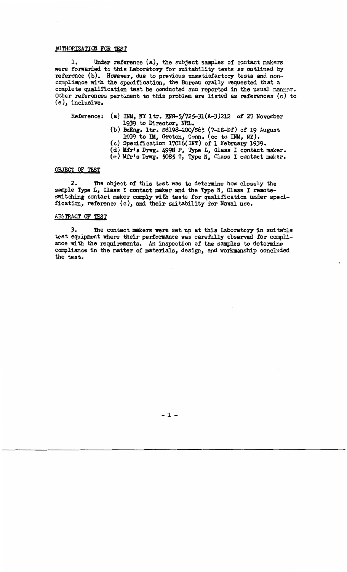### AUTHORIZATION FOR TEST

1. Under reference (a), the subject samples of contact makers were forwarded to this Laboratory for suitability tests as outlined by reference (b). However, due to previous unsatisfactory tests and noncompliance with the specification, the Bureau orally requested that a complete qualification test be conducted and reported in the usual manner. Other references pertinent to this problem are listed as references (c) to (e), inclusive.

- Reference: (a) INM, NY ltr. EN8-5/725-31(A-3)212 of 27 November 1939 to Director, NRL.
	- (b) BuEng. ltr. \$S198-200/S65 (7-18-Df) of 19 August 1939 to IM, Groton, Conn. (cc to INM, NY).
	- (c) Specification 17Cl6(INT) of 1 February 1939.
	- (d) Mfr1s Dnrg. 4998 P., Type L., Class I contact maker.
	- (e) Mfr's Dnrg. 5085 T., Type N., Class I contact maker.

## OBJECT OF TEST

2. The object of this test was to determine how closely the sample Type L, Class I contact maker and the Type N, Class I remoteswitching contact maker comply with tests for qualification under specification, reference (c), and their suitability for Naval use.

### AB5TRACT OF TFST

3. The contact makers were set up at this Laboratory in suitable test equipment where their performance was carefully observed for compliance with the requirements. An inspection of the samples to determine compliance in the matter of materials, design., and workmanship concluded the test.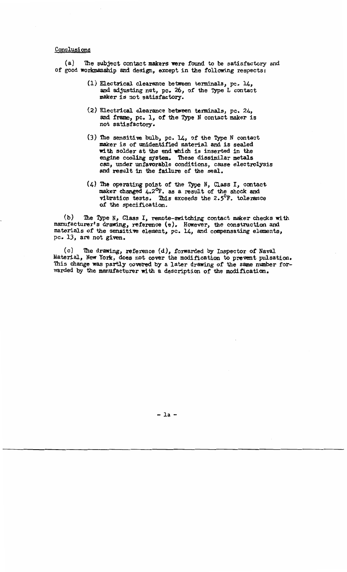### Conclusions

 $(a)$  The subject contact makers were found to be satisfactory and of good workmanship and design., except in the following respects :

- (1) Electrical. clearance between tenninals, pc. 14, and adjusting nut, pc. 26., of the Type L contact maker is not satisfactory.
- (2) Electrical. clearance between tenninals, pc. 24, and frame, pc. 1, of the Type N contact maker is not satisfactory.
- $(3)$  The sensitive bulb, pc. 14, of the Type N contact maker is of unidentified material and is sealed with solder at the end which is inserted in the engine cooling system. These dissimilar metals can., under unfavorable conditions, cause electrolysis and result in the failure of the seal.
- $(4)$  The operating point of the Type N, Class I, contact maker changed  $4.2^{\circ}$ F. as a result of the shock and vibration tests. This exceeds the 2.5 $\mathrm{P}$ . tolerance of the specifioation.

(b) The Type N, Class I, remote-switching contact maker checks with manufacturer's drawing, reference (e). However, the construction and materials of the sensitive element, pc. 14, and compensating elements, pc. 13, are not given.

 $(c)$  The drawing, reference  $(d)$ , forwarded by Inspector of Naval Material, New York, does not cover the modification to prevent pulsation. This change was partly covered by a later drawing of the same number forwarded by the manufacturer with a description of the modification.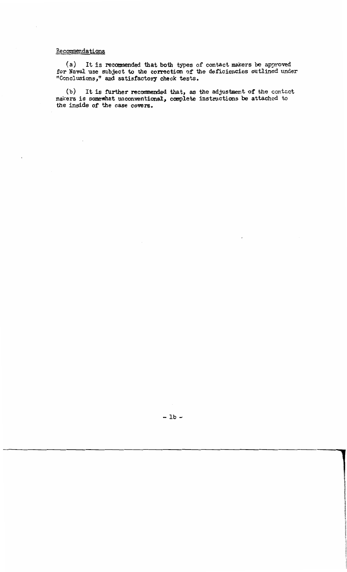## Recommendations

( a) It is recommended that both types of contact makers be approved for Naval use subject to the correction of the deficiencies outlined under "Conclusions," and satisfactory check tests.

(b) It is further recommended that, as the adjustment of the contact makers is somewhat unconventional, complete instructions be attached to *the* inside of the case covers.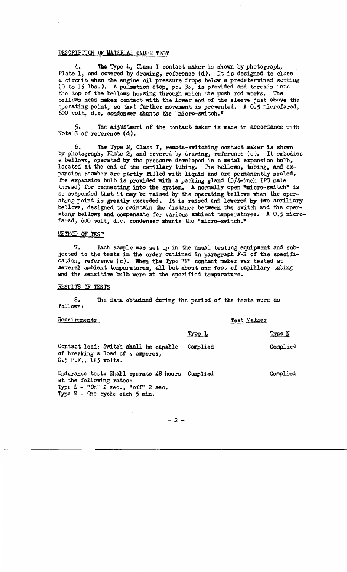### DESCRIPTION OF MATERIAL UNDER TEST

4. The Type L, Class I contact maker is shown by photograph, Plate l, and covered by drawing, reference (d). It is designed to close a circuit when the engine oil pressure drops below a predetermined setting (0 to 15 lbs.). A pulsation stop, pc.  $30$ , is provided and threads into tho top of the bellows housing through which the push rod works. The bellows head makes contact with the lower end of the sleeve just above the operating point., so that further movement is prevented. A 0.5 microfarad, 600 volt., d.c. condenser shunts *the* "micro-switch."

The adjustment of the contact maker is made in accordance with Note 8 of reference (d).

6. 'lhe Type N., Class I., remote-switching contact maker is shown by photograph., Plate 2, and covered by drawing., reference (e). It embodies a bellows, operated by the pressure developed in a metal expansion bulb., located at the end of the capillary tubing. The bellows, tubing, and expansion chamber are partly filled with liquid and are permanently sealed. The expansion bulb is provided with a packing gland  $(3/4$ -inch IPS male thread) for connecting into the system. A normally open "micro-switch" is so suspended that it may be raised by the operating bellows when the operating point is greatly exceeded. It is raised and lowered by two auxiliary bellows, designed to maintain the distance between the switch and the operating bellows and compensate for various ambient temperatures. A  $0.5$  microfarad, 600 volt, d.c. condenser shunts the "micro-switch."

#### *<u>NETHOD</u> OF TEST*

? • Each sample was set up in the usual testing equipment and subjected to the tests in the order outlined in paragraph F-2 of the specification, reference (c). When the Type "N" contact maker was tested at several ambient temperatures., all but about one foot of capillary tubing and the sensitive bulb were at the specified temperature.

#### RESULTS OF TEST§.

8. The data obtained during the period of the tests were as follows:

| Requirements                                                                                                                                             | Test Values |          |
|----------------------------------------------------------------------------------------------------------------------------------------------------------|-------------|----------|
|                                                                                                                                                          | Type L      | Type N   |
| Contact load: Switch shall be capable<br>of breaking a load of 4 amperes,<br>$0.5$ P.F., 115 volts.                                                      | Complied    | Complied |
| Endurance test: Shall operate 48 hours Complied<br>at the following rates:<br>Type $L - "On" 2 sec., "off" 2 sec.$<br>Type $N -$ One cycle each $5$ min. |             | Complied |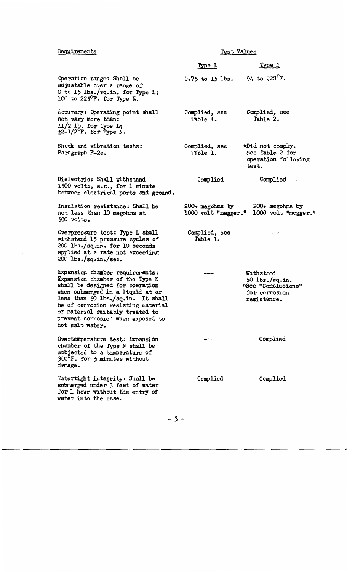## Requirement

water into the case.

| Requirements                                                                                                                                                                                                                                                                                                    | Test Values                              |                                                                                     |  |  |  |
|-----------------------------------------------------------------------------------------------------------------------------------------------------------------------------------------------------------------------------------------------------------------------------------------------------------------|------------------------------------------|-------------------------------------------------------------------------------------|--|--|--|
|                                                                                                                                                                                                                                                                                                                 | Type L                                   | <u>Type !!</u>                                                                      |  |  |  |
| Operation range: Shall be<br>adjustable over a range of<br>0 to 15 lbs./sq.in. for Type L;<br>100 to 225 $^{\circ}$ F. for Type N.                                                                                                                                                                              | 0.75 to 15 lbs. 94 to $223^{\circ}$ F.   |                                                                                     |  |  |  |
| Accuracy: Operating point shall<br>not vary more than:<br>$\pm 1/2$ lb. for Type L;<br>$\pm 2-1/2$ <sup>o</sup> F. for Type N.                                                                                                                                                                                  | Complied, see<br>Table 1.                | Complied, see<br>Table 2.                                                           |  |  |  |
| Shock and vibration tests:<br>Paragraph F-2e.                                                                                                                                                                                                                                                                   | Complied, see<br>Table 1.                | *Did not comply.<br>See Table 2 for<br>operation following<br>test.                 |  |  |  |
| Dielectric: Shall withstand<br>1500 volts, a.c., for 1 minute<br>between electrical parts and ground.                                                                                                                                                                                                           | Complied                                 | Complied                                                                            |  |  |  |
| Insulation resistance: Shall be<br>not less than 10 megohms at<br>500 volts.                                                                                                                                                                                                                                    | $200+$ megohms by<br>1000 volt "megger." | $200+$ megohms by<br>1000 volt "megger."                                            |  |  |  |
| Overpressure test: Type L shall<br>withstand 15 pressure cycles of<br>200 lbs./sq.in. for 10 seconds<br>applied at a rate not exceeding<br>$200$ lbs./sq.in./sec.                                                                                                                                               | Complied, see<br>Table 1.                |                                                                                     |  |  |  |
| Expansion chamber requirements:<br>Expansion chamber of the Type N<br>shall be designed for operation<br>when submerged in a liquid at or<br>less than 50 lbs./sq.in. It shall<br>be of corrosion resisting material<br>or material suitably treated to<br>prevent corrosion when exposed to<br>hot salt water. |                                          | Withstood<br>50 $1bs./sq.in.$<br>*See "Conclusions"<br>for corrosion<br>resistance. |  |  |  |
| Overtemperature test: Expansion<br>chamber of the Type N shall be<br>subjected to a temperature of<br>300°F. for 5 minutes without<br>damage.                                                                                                                                                                   |                                          | Complied                                                                            |  |  |  |
| Watertight integrity: Shall be<br>submerged under 3 feet of water<br>for 1 hour without the entry of                                                                                                                                                                                                            | Complied                                 | Complied                                                                            |  |  |  |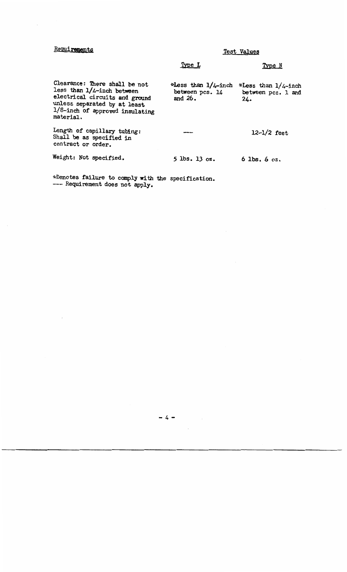## Requirements

Test Values

## Type L

## Type N

Clearance: There shall be not less than 1/4-inch between electrical circuits and ground unless separated by at least 1/8-inch of approved insulating material. Length of capillary tubing: Shall be as specified in contract or order. Weight: Not specified. \*Less than  $1/4$ -inch \*Less than  $1/4$ -inch between pcs. 1 and between  $pcs. 1$  and  $24.$ and 26. 12-1/2 feet *5* lbs. 13 oz. 6 lbs. 6 oz.

\*Denotes failure to comply with the specification. --- Requirement does not apply.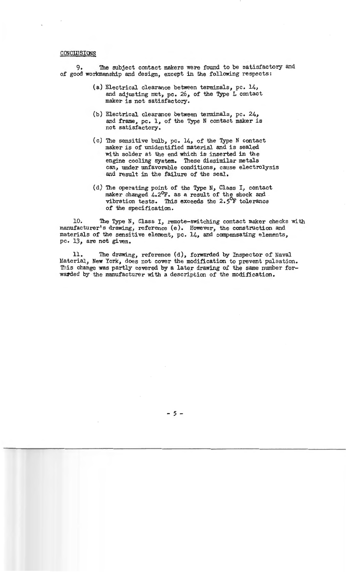#### **CONCLUSIONS**

9. The subject contact makers were found to be satisfactory and of good worl<manship and design, except in the following respects:

- (a) Electrical clearance between terminals, pc. 14, and adjusting nut, pc. 26, of the Type L contact maker is not satisfactory.
- (b) Electrical clearance between terminals, pc. 24, and frame, pc. 1, of the Type N contact maker is not satisfactory.
- $(c)$  The sensitive bulb, pc. 14, of the Type N contact maker is of unidentified material and is sealed with solder at the end which is inserted in the engine cooling system. These dissimilar metals can, under unfavorable conditions, cause electrolysis and result in the failure of the seal.
- (d) The operating point of the Type N, Class I, contact maker changed 4.2°F. as a result of the shock and vibration tests. This exceeds the 2.5°F tolerance of the specification.

10. The Type N, Class I, remote-switching contact maker checks with manufacturer's drawing, reference (e ). However, the construction and materials of the sensitive element, pc. 14, and compensating elements, pc. 13, are not given.

11. The drawing, reference (d), forwarded by Inspector of Naval Material, New York, does not cover the modification to prevent pulsation. This change was partly covered by a later drawing of the same number forwarded by the manufacturer with a description of the modification.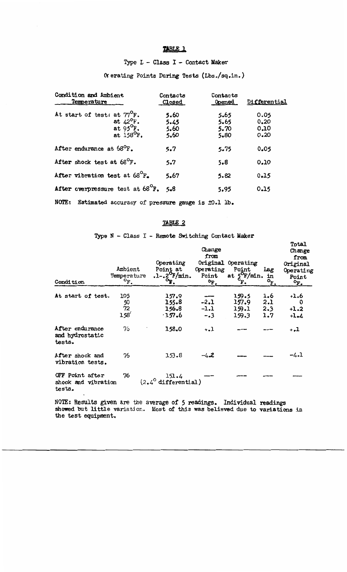## TABLE 1

# Type L - Class I - Contact Maker

# Or erating Points During Tests (Lbs./sq.in.)

| Condition and Ambient<br>Temperature                                                                       | Contacts<br>Closed           | Contacts<br><b>Opened</b>    | Differential                 |
|------------------------------------------------------------------------------------------------------------|------------------------------|------------------------------|------------------------------|
| At start of test: at 77 <sup>°</sup> F.<br>at $42^{\circ}$ F.<br>at $95^{\circ}$ F.<br>at $158^{\circ}$ F. | 5.60<br>5.45<br>5.60<br>5.60 | 5.65<br>5.65<br>5.70<br>5.80 | 0.05<br>0.20<br>0.10<br>0.20 |
| After endurance at $68^{\circ}$ F.                                                                         | 5.7                          | 5.75                         | 0.05                         |
| After shock test at $68^{\circ}$ F.                                                                        | 5.7                          | 5.8                          | 0.10                         |
| After vibration test at 68 <sup>°</sup> F.                                                                 | 5.67                         | 5.82                         | 0.15                         |
| After overpressure test at 68 <sup>°</sup> F. 5.8                                                          |                              | 5.95                         | 0.15                         |
| NOTE:<br>Estimated accuracy of pressure gauge is $\pm 0.1$ lb.                                             |                              |                              |                              |

## TABLE 2

# Type N - Class I - Remote Switching Contact Maker

Total

| Condition                                        | Ambient<br>Temperature<br>$\mathbf{P}_{\bullet}$ | Operating<br>Point at<br>$.1-.2^{\circ}$ F/min.<br>$\mathbf{p}$ | Change<br>from<br>Operating<br>Point<br>$\mathbf{P}_{\mathbf{F}}$ . | Original Operating<br>Point<br>at $5^{\circ}$ F/min.<br>F. | Lag<br>in<br>$\circ_{\mathbf{F}}$ | Change<br>from<br>Original<br>Operating<br>Point<br>$\circ_F$ . |
|--------------------------------------------------|--------------------------------------------------|-----------------------------------------------------------------|---------------------------------------------------------------------|------------------------------------------------------------|-----------------------------------|-----------------------------------------------------------------|
| At start of test.                                | 105<br>$\frac{50}{72}$<br>$158^{6}$              | 157.9<br>155.8<br>156.8<br>$-157.6$                             | $-2.1$<br>$-1.1$<br>$-.3$                                           | 159.5<br>157.9<br>159.1<br>159.3                           | 1.6<br>2.1<br>2.3<br>1.7          | $+1.6$<br>0<br>$+1.2$<br>$+1.4$                                 |
| After endurance<br>and hydrostatic<br>tests.     | 76                                               | 158.0                                                           | $+ -1$                                                              |                                                            |                                   | - 7                                                             |
| After shock and<br>vibration tests.              | 76                                               | 153.8                                                           | $-4.2$                                                              |                                                            |                                   | -4.1                                                            |
| OFF Point after<br>shock and vibration<br>tests. | 76                                               | 151.4<br>$(2.4^{\circ}$ differential)                           |                                                                     |                                                            |                                   |                                                                 |

NOTE: Results given are the average of 5 readings. Individual readings showed but little variation. Most of this was believed due to variations in the test equipment.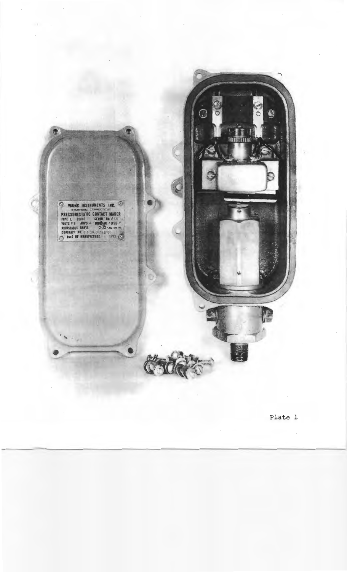